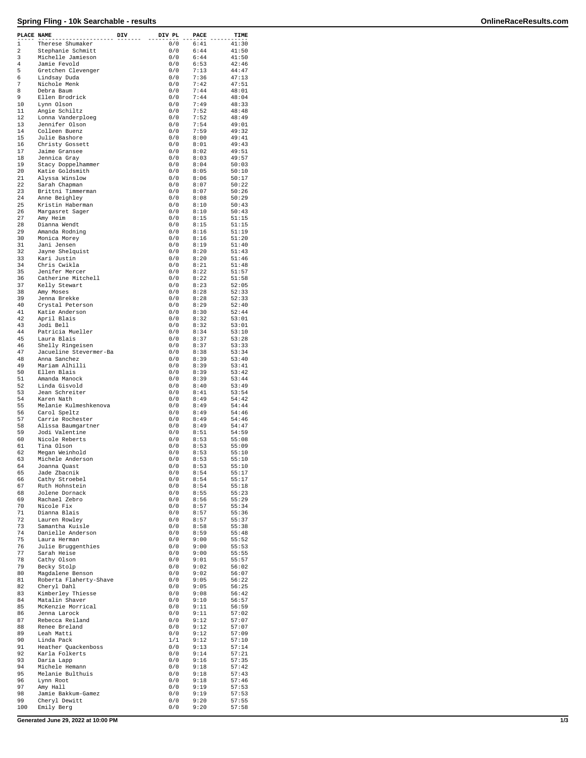## **Spring Fling - 10k Searchable - results OnlineRaceResults.com**

| PLACE NAME     |                                     | DIV | DIV PL     | PACE         | TIME           |
|----------------|-------------------------------------|-----|------------|--------------|----------------|
| $\mathbf{1}$   | Therese Shumaker                    |     | 0/0        | 6:41         | 41:30          |
| $\overline{a}$ | Stephanie Schmitt                   |     | 0/0        | 6:44         | 41:50          |
| 3              | Michelle Jamieson                   |     | 0/0        | 6:44         | 41:50          |
| 4              | Jamie Fevold                        |     | 0/0        | 6:53         | 42:46          |
| 5              | Gretchen Clevenger                  |     | 0/0        | 7:13         | 44:47          |
| 6              | Lindsay Duda                        |     | 0/0        | 7:36         | 47:13          |
| 7              | Nichole Menk                        |     | 0/0        | 7:42         | 47:51          |
| 8              | Debra Baum                          |     | 0/0        | 7:44         | 48:01          |
| 9              | Ellen Brodrick                      |     | 0/0        | 7:44         | 48:04          |
| 10             | Lynn Olson                          |     | 0/0        | 7:49         | 48:33          |
| 11             | Angie Schiltz                       |     | 0/0        | 7:52         | 48:48          |
| 12             | Lonna Vanderploeg                   |     | 0/0        | 7:52         | 48:49          |
| 13<br>14       | Jennifer Olson<br>Colleen Buenz     |     | 0/0<br>0/0 | 7:54<br>7:59 | 49:01<br>49:32 |
| 15             | Julie Bashore                       |     | 0/0        | 8:00         | 49:41          |
| 16             | Christy Gossett                     |     | 0/0        | 8:01         | 49:43          |
| 17             | Jaime Gransee                       |     | 0/0        | 8:02         | 49:51          |
| 18             | Jennica Gray                        |     | 0/0        | 8:03         | 49:57          |
| 19             | Stacy Doppelhammer                  |     | 0/0        | 8:04         | 50:03          |
| 20             | Katie Goldsmith                     |     | 0/0        | 8:05         | 50:10          |
| 21             | Alyssa Winslow                      |     | 0/0        | 8:06         | 50:17          |
| 22             | Sarah Chapman                       |     | 0/0        | 8:07         | 50:22          |
| 23             | Brittni Timmerman                   |     | 0/0        | 8:07         | 50:26          |
| 24             | Anne Beighley                       |     | 0/0        | 8:08         | 50:29          |
| 25             | Kristin Haberman                    |     | 0/0        | 8:10         | 50:43          |
| 26             | Margasret Sager                     |     | 0/0        | 8:10         | 50:43          |
| 27             | Amy Heim                            |     | 0/0        | 8:15         | 51:15          |
| 28             | Dianna Wendt                        |     | 0/0        | 8:15         | 51:15          |
| 29             | Amanda Rodning                      |     | 0/0        | 8:16         | 51:19          |
| 30             | Monica Morey                        |     | 0/0        | 8:16<br>8:19 | 51:20          |
| 31             | Jani Jensen                         |     | 0/0        |              | 51:40          |
| 32<br>33       | Jayne Shelquist<br>Kari Justin      |     | 0/0<br>0/0 | 8:20<br>8:20 | 51:43<br>51:46 |
| 34             | Chris Cwikla                        |     | 0/0        | 8:21         | 51:48          |
| 35             | Jenifer Mercer                      |     | 0/0        | 8:22         | 51:57          |
| 36             | Catherine Mitchell                  |     | 0/0        | 8:22         | 51:58          |
| 37             | Kelly Stewart                       |     | 0/0        | 8:23         | 52:05          |
| 38             | Amy Moses                           |     | 0/0        | 8:28         | 52:33          |
| 39             | Jenna Brekke                        |     | 0/0        | 8:28         | 52:33          |
| 40             | Crystal Peterson                    |     | 0/0        | 8:29         | 52:40          |
| 41             | Katie Anderson                      |     | 0/0        | 8:30         | 52:44          |
| 42             | April Blais                         |     | 0/0        | 8:32         | 53:01          |
| 43             | Jodi Bell                           |     | 0/0        | 8:32         | 53:01          |
| 44             | Patricia Mueller                    |     | 0/0        | 8:34         | 53:10          |
| 45             | Laura Blais                         |     | 0/0        | 8:37         | 53:28          |
| 46             | Shelly Ringeisen                    |     | 0/0        | 8:37         | 53:33          |
| 47             | Jacueline Stevermer-Ba              |     | 0/0        | 8:38         | 53:34          |
| 48             | Anna Sanchez                        |     | 0/0        | 8:39         | 53:40          |
| 49             | Mariam Alhilli                      |     | 0/0        | 8:39         | 53:41          |
| 50             | Ellen Blais                         |     | 0/0        | 8:39         | 53:42          |
| 51<br>52       | Amanda Manock                       |     | 0/0        | 8:39         | 53:44          |
| 53             | Linda Gisvold<br>Jean Schreiter     |     | 0/0<br>0/0 | 8:40<br>8:41 | 53:49<br>53:54 |
| 54             | Karen Nath                          |     | 0/0        | 8:49         | 54:42          |
| 55             | Melanie Kulmeshkenova               |     | 0/0        | 8:49         | 54:44          |
| 56             | Carol Speltz                        |     | 0/0        | 8:49         | 54:46          |
| 57             | Carrie Rochester                    |     | 0/0        | 8:49         | 54:46          |
| 58             | Alissa Baumqartner                  |     | 0/0        | 8:49         | 54:47          |
| 59             | Jodi Valentine                      |     | 0/0        | 8:51         | 54:59          |
| 60             | Nicole Reberts                      |     | 0/0        | 8:53         | 55:08          |
| 61             | Tina Olson                          |     | 0/0        | 8:53         | 55:09          |
| 62             | Megan Weinhold                      |     | 0/0        | 8:53         | 55:10          |
| 63             | Michele Anderson                    |     | 0/0        | 8:53         | 55:10          |
| 64             | Joanna Quast                        |     | 0/0        | 8:53         | 55:10          |
| 65             | Jade Zbacnik                        |     | 0/0        | 8:54         | 55:17          |
| 66<br>67       | Cathy Stroebel                      |     | 0/0        | 8:54<br>8:54 | 55:17          |
| 68             | Ruth Hohnstein<br>Jolene Dornack    |     | 0/0<br>0/0 | 8:55         | 55:18<br>55:23 |
| 69             | Rachael Zebro                       |     | 0/0        | 8:56         | 55:29          |
| 70             | Nicole Fix                          |     | 0/0        | 8:57         | 55:34          |
| 71             | Dianna Blais                        |     | 0/0        | 8:57         | 55:36          |
| 72             | Lauren Rowley                       |     | 0/0        | 8:57         | 55:37          |
| 73             | Samantha Kuisle                     |     | 0/0        | 8:58         | 55:38          |
| 74             | Danielle Anderson                   |     | 0/0        | 8:59         | 55:48          |
| 75             | Laura Herman                        |     | 0/0        | 9:00         | 55:52          |
| 76             | Julie Bruggenthies                  |     | 0/0        | 9:00         | 55:53          |
| 77             | Sarah Heise                         |     | 0/0        | 9:00         | 55:55          |
| 78             | Cathy Olson                         |     | 0/0        | 9:01         | 55:57          |
| 79             | Becky Stolp                         |     | 0/0        | 9:02         | 56:02          |
| 80             | Magdalene Benson                    |     | 0/0        | 9:02         | 56:07          |
| 81             | Roberta Flaherty-Shave              |     | 0/0        | 9:05         | 56:22          |
| 82<br>83       | Cheryl Dahl<br>Kimberley Thiesse    |     | 0/0<br>0/0 | 9:05<br>9:08 | 56:25<br>56:42 |
| 84             | Matalin Shaver                      |     | 0/0        | 9:10         | 56:57          |
| 85             | McKenzie Morrical                   |     | 0/0        | 9:11         | 56:59          |
| 86             | Jenna Larock                        |     | 0/0        | 9:11         | 57:02          |
| 87             | Rebecca Reiland                     |     | 0/0        | 9:12         | 57:07          |
| 88             | Renee Breland                       |     | 0/0        | 9:12         | 57:07          |
| 89             | Leah Matti                          |     | 0/0        | 9:12         | 57:09          |
| 90             | Linda Pack                          |     | 1/1        | 9:12         | 57:10          |
| 91             | Heather Quackenboss                 |     | 0/0        | 9:13         | 57:14          |
| 92             | Karla Folkerts                      |     | 0/0        | 9:14         | 57:21          |
| 93             | Daria Lapp                          |     | 0/0        | 9:16         | 57:35          |
| 94             | Michele Hemann                      |     | 0/0        | 9:18         | 57:42          |
| 95             | Melanie Bulthuis                    |     | 0/0        | 9:18         | 57:43          |
| 96             | Lynn Root                           |     | 0/0        | 9:18         | 57:46          |
| 97<br>98       | Amy Hall                            |     | 0/0        | 9:19         | 57:53          |
| 99             | Jamie Bakkum-Gamez<br>Cheryl Dewitt |     | 0/0<br>0/0 | 9:19<br>9:20 | 57:53<br>57:55 |
| 100            | Emily Berg                          |     | 0/0        | 9:20         | 57:58          |
|                |                                     |     |            |              |                |

**Generated June 29, 2022 at 10:00 PM 1/3**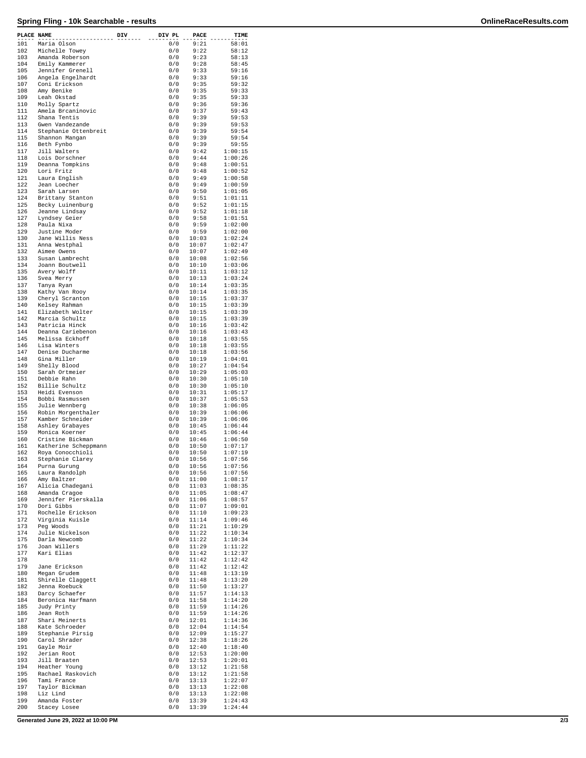## **Spring Fling - 10k Searchable - results OnlineRaceResults.com**

| PLACE NAME |                                       | DIV | DIV PL     | PACE           | TIME               |
|------------|---------------------------------------|-----|------------|----------------|--------------------|
| 101        | Maria Olson                           |     | 0/0        | 9:21           | 58:01              |
| 102        | Michelle Towey                        |     | 0/0        | 9:22           | 58:12              |
| 103        | Amanda Roberson                       |     | 0/0        | 9:23           | 58:13              |
| 104<br>105 | Emily Kammerer                        |     | 0/0<br>0/0 | 9:28<br>9:33   | 58:45<br>59:16     |
| 106        | Jennifer Grenell<br>Angela Engelhardt |     | 0/0        | 9:33           | 59:16              |
| 107        | Coni Erickson                         |     | 0/0        | 9:35           | 59:32              |
| 108        | Amy Benike                            |     | 0/0        | 9:35           | 59:33              |
| 109        | Leah Okstad                           |     | 0/0        | 9:35           | 59:33              |
| 110        | Molly Spartz                          |     | 0/0        | 9:36           | 59:36              |
| 111<br>112 | Amela Brcaninovic<br>Shana Tentis     |     | 0/0<br>0/0 | 9:37<br>9:39   | 59:43<br>59:53     |
| 113        | Gwen Vandezande                       |     | 0/0        | 9:39           | 59:53              |
| 114        | Stephanie Ottenbreit                  |     | 0/0        | 9:39           | 59:54              |
| 115        | Shannon Mangan                        |     | 0/0        | 9:39           | 59:54              |
| 116        | Beth Fynbo                            |     | 0/0        | 9:39           | 59:55              |
| 117        | Jill Walters                          |     | 0/0        | 9:42           | 1:00:15            |
| 118        | Lois Dorschner                        |     | 0/0        | 9:44           | 1:00:26            |
| 119<br>120 | Deanna Tompkins<br>Lori Fritz         |     | 0/0<br>0/0 | 9:48<br>9:48   | 1:00:51<br>1:00:52 |
| 121        | Laura English                         |     | 0/0        | 9:49           | 1:00:58            |
| 122        | Jean Loecher                          |     | 0/0        | 9:49           | 1:00:59            |
| 123        | Sarah Larsen                          |     | 0/0        | 9:50           | 1:01:05            |
| 124        | Brittany Stanton                      |     | 0/0        | 9:51           | 1:01:11            |
| 125        | Becky Luinenburg                      |     | 0/0        | 9:52           | 1:01:15            |
| 126        | Jeanne Lindsay                        |     | 0/0        | 9:52           | 1:01:18            |
| 127<br>128 | Lyndsey Geier<br>Paula Nixa           |     | 0/0<br>0/0 | 9:58<br>9:59   | 1:01:51<br>1:02:00 |
| 129        | Justine Moder                         |     | 0/0        | 9:59           | 1:02:00            |
| 130        | Jane Willis Ness                      |     | 0/0        | 10:03          | 1:02:24            |
| 131        | Anna Westphal                         |     | 0/0        | 10:07          | 1:02:47            |
| 132        | Aimee Owens                           |     | 0/0        | 10:07          | 1:02:49            |
| 133        | Susan Lambrecht                       |     | 0/0        | 10:08          | 1:02:56            |
| 134        | Joann Boutwell                        |     | 0/0        | 10:10          | 1:03:06            |
| 135<br>136 | Avery Wolff<br>Svea Merry             |     | 0/0<br>0/0 | 10:11<br>10:13 | 1:03:12<br>1:03:24 |
| 137        | Tanya Ryan                            |     | 0/0        | 10:14          | 1:03:35            |
| 138        | Kathy Van Rooy                        |     | 0/0        | 10:14          | 1:03:35            |
| 139        | Cheryl Scranton                       |     | 0/0        | 10:15          | 1:03:37            |
| 140        | Kelsey Rahman                         |     | 0/0        | 10:15          | 1:03:39            |
| 141        | Elizabeth Wolter                      |     | 0/0        | 10:15          | 1:03:39            |
| 142        | Marcia Schultz                        |     | 0/0        | 10:15          | 1:03:39            |
| 143<br>144 | Patricia Hinck<br>Deanna Cariebenon   |     | 0/0<br>0/0 | 10:16<br>10:16 | 1:03:42<br>1:03:43 |
| 145        | Melissa Eckhoff                       |     | 0/0        | 10:18          | 1:03:55            |
| 146        | Lisa Winters                          |     | 0/0        | 10:18          | 1:03:55            |
| 147        | Denise Ducharme                       |     | 0/0        | 10:18          | 1:03:56            |
| 148        | Gina Miller                           |     | 0/0        | 10:19          | 1:04:01            |
| 149        | Shelly Blood                          |     | 0/0        | 10:27          | 1:04:54            |
| 150<br>151 | Sarah Ortmeier<br>Debbie Rahn         |     | 0/0<br>0/0 | 10:29<br>10:30 | 1:05:03<br>1:05:10 |
| 152        | Billie Schultz                        |     | 0/0        | 10:30          | 1:05:10            |
| 153        | Heidi Evenson                         |     | 0/0        | 10:31          | 1:05:17            |
| 154        | Bobbi Rasmussen                       |     | 0/0        | 10:37          | 1:05:53            |
| 155        | Julie Wennberg                        |     | 0/0        | 10:38          | 1:06:05            |
| 156        | Robin Morgenthaler                    |     | 0/0        | 10:39          | 1:06:06            |
| 157        | Kamber Schneider                      |     | 0/0<br>0/0 | 10:39          | 1:06:06            |
| 158<br>159 | Ashley Grabayes<br>Monica Koerner     |     | 0/0        | 10:45<br>10:45 | 1:06:44<br>1:06:44 |
| 160        | Cristine Bickman                      |     | 0/0        | 10:46          | 1:06:50            |
| 161        | Katherine Scheppmann                  |     | 0/0        | 10:50          | 1:07:17            |
| 162        | Roya Conocchioli                      |     | 0/0        | 10:50          | 1:07:19            |
| 163        | Stephanie Clarey                      |     | 0/0        | 10:56          | 1:07:56            |
| 164        | Purna Gurung                          |     | 0/0        | 10:56          | 1:07:56            |
| 165<br>166 | Laura Randolph<br>Amy Baltzer         |     | 0/0<br>0/0 | 10:56<br>11:00 | 1:07:56<br>1:08:17 |
| 167        | Alicia Chadegani                      |     | 0/0        | 11:03          | 1:08:35            |
| 168        | Amanda Cragoe                         |     | 0/0        | 11:05          | 1:08:47            |
| 169        | Jennifer Pierskalla                   |     | 0/0        | 11:06          | 1:08:57            |
| 170        | Dori Gibbs                            |     | 0/0        | 11:07          | 1:09:01            |
| 171        | Rochelle Erickson                     |     | 0/0        | 11:10          | 1:09:23            |
| 172<br>173 | Virginia Kuisle<br>Peg Woods          |     | 0/0<br>0/0 | 11:14<br>11:21 | 1:09:46<br>1:10:29 |
| 174        | Julie Nickelson                       |     | 0/0        | 11:22          | 1:10:34            |
| 175        | Darla Newcomb                         |     | 0/0        | 11:22          | 1:10:34            |
| 176        | Joan Willers                          |     | 0/0        | 11:29          | 1:11:22            |
| 177        | Kari Elias                            |     | 0/0        | 11:42          | 1:12:37            |
| 178        |                                       |     | 0/0        | 11:42          | 1:12:42            |
| 179<br>180 | Jane Erickson                         |     | 0/0<br>0/0 | 11:42<br>11:48 | 1:12:42<br>1:13:19 |
| 181        | Megan Grudem<br>Shirelle Claggett     |     | 0/0        | 11:48          | 1:13:20            |
| 182        | Jenna Roebuck                         |     | 0/0        | 11:50          | 1:13:27            |
| 183        | Darcy Schaefer                        |     | 0/0        | 11:57          | 1:14:13            |
| 184        | Beronica Harfmann                     |     | 0/0        | 11:58          | 1:14:20            |
| 185        | Judy Printy                           |     | 0/0        | 11:59          | 1:14:26            |
| 186        | Jean Roth                             |     | 0/0        | 11:59          | 1:14:26            |
| 187<br>188 | Shari Meinerts<br>Kate Schroeder      |     | 0/0<br>0/0 | 12:01<br>12:04 | 1:14:36<br>1:14:54 |
| 189        | Stephanie Pirsig                      |     | 0/0        | 12:09          | 1:15:27            |
| 190        | Carol Shrader                         |     | 0/0        | 12:38          | 1:18:26            |
| 191        | Gayle Moir                            |     | 0/0        | 12:40          | 1:18:40            |
| 192        | Jerian Root                           |     | 0/0        | 12:53          | 1:20:00            |
| 193        | Jill Braaten                          |     | 0/0        | 12:53          | 1:20:01            |
| 194<br>195 | Heather Young<br>Rachael Raskovich    |     | 0/0<br>0/0 | 13:12<br>13:12 | 1:21:58<br>1:21:58 |
| 196        | Tami France                           |     | 0/0        | 13:13          | 1:22:07            |
| 197        | Taylor Bickman                        |     | 0/0        | 13:13          | 1:22:08            |
| 198        | Liz Lind                              |     | 0/0        | 13:13          | 1:22:08            |
| 199        | Amanda Foster                         |     | 0/0        | 13:39          | 1:24:43            |
| 200        | Stacey Losee                          |     | 0/0        | 13:39          | 1:24:44            |

**Generated June 29, 2022 at 10:00 PM 2/3**